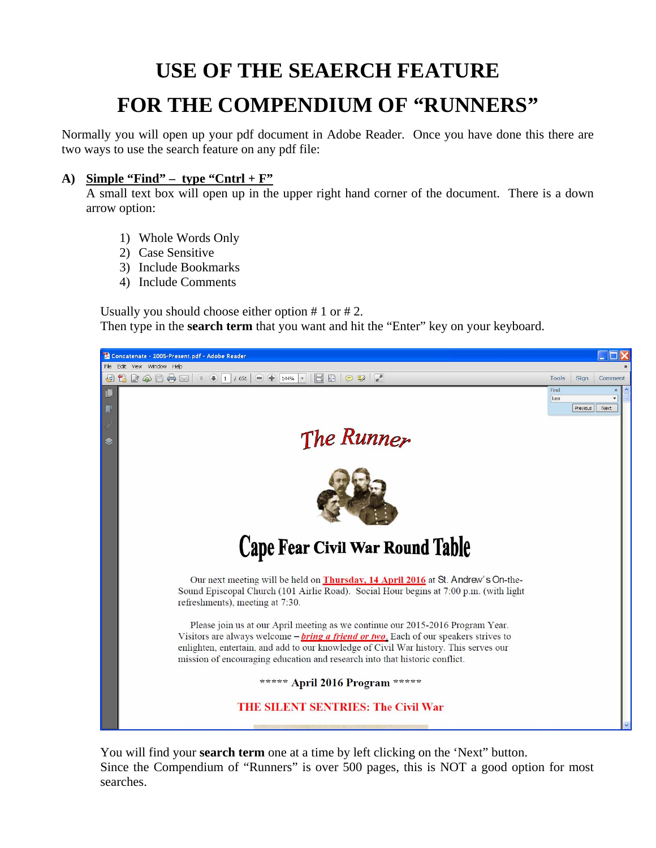## **USE OF THE SEAERCH FEATURE FOR THE COMPENDIUM OF "RUNNERS"**

Normally you will open up your pdf document in Adobe Reader. Once you have done this there are two ways to use the search feature on any pdf file:

## A) **Simple "Find"** – type "Cntrl +  $\mathbf{F}$ "

A small text box will open up in the upper right hand corner of the document. There is a down arrow option:

- 1) Whole Words Only
- 2) Case Sensitive
- 3) Include Bookmarks
- 4) Include Comments

Usually you should choose either option # 1 or # 2. Then type in the **search term** that you want and hit the "Enter" key on your keyboard.



You will find your **search term** one at a time by left clicking on the 'Next" button. Since the Compendium of "Runners" is over 500 pages, this is NOT a good option for most searches.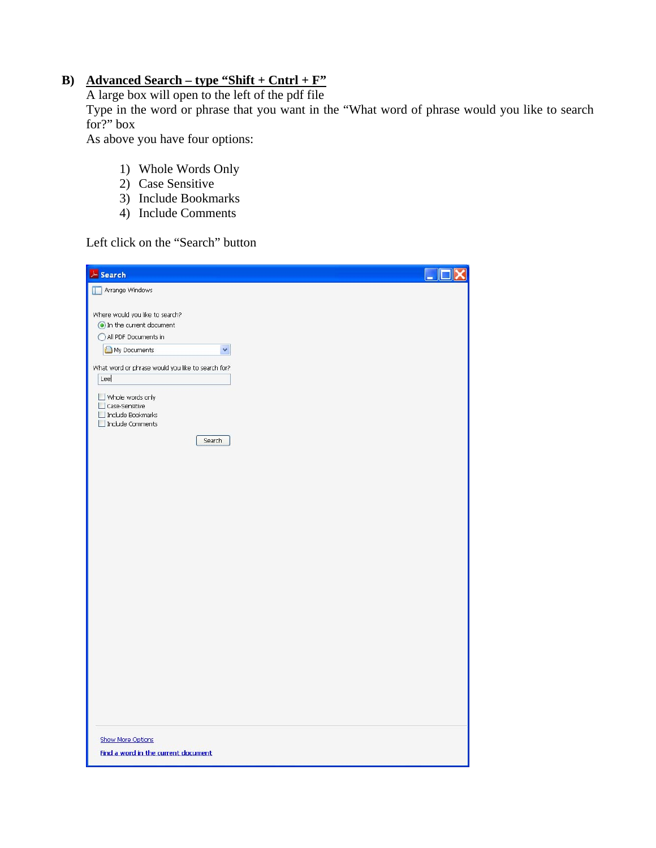## **B) Advanced Search – type "Shift + Cntrl + F"**

A large box will open to the left of the pdf file

Type in the word or phrase that you want in the "What word of phrase would you like to search for?" box

As above you have four options:

- 1) Whole Words Only
- 2) Case Sensitive
- 3) Include Bookmarks
- 4) Include Comments

Left click on the "Search" button

| & Search                                                                                                                                                                                                                                                                       |  |
|--------------------------------------------------------------------------------------------------------------------------------------------------------------------------------------------------------------------------------------------------------------------------------|--|
| Arrange Windows                                                                                                                                                                                                                                                                |  |
| Where would you like to search?<br>In the current document<br>All PDF Documents in<br>My Documents<br>$\checkmark$<br>What word or phrase would you like to search for?<br>Lee<br>$\Box$ Whole words only<br>Case-Sensitive<br>Include Bookmarks<br>Include Comments<br>Search |  |
|                                                                                                                                                                                                                                                                                |  |
|                                                                                                                                                                                                                                                                                |  |
| <b>Show More Options</b><br>Find a word in the current document                                                                                                                                                                                                                |  |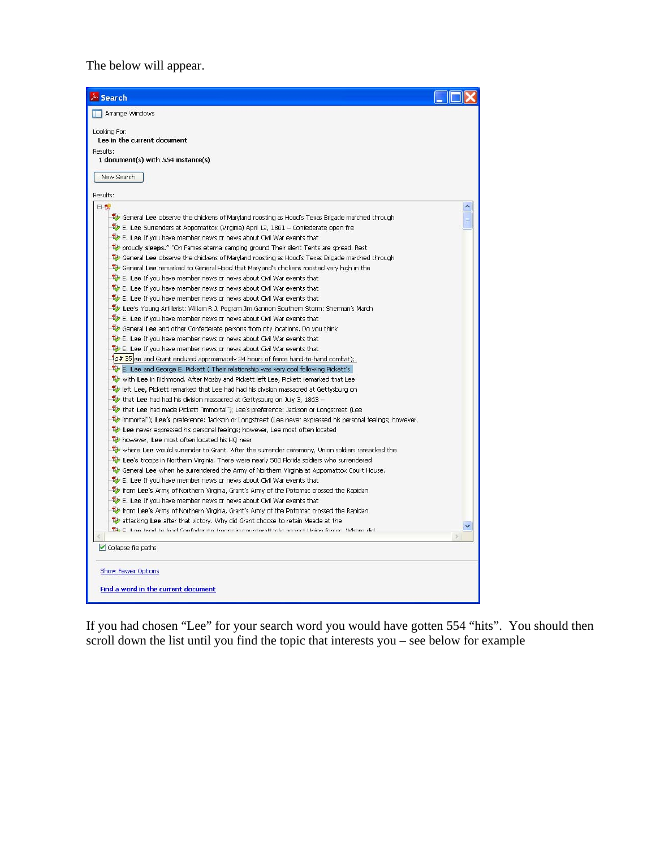The below will appear.

| & Search                                                                                                                                                      |
|---------------------------------------------------------------------------------------------------------------------------------------------------------------|
| Arrange Windows                                                                                                                                               |
| Looking For:                                                                                                                                                  |
| Lee in the current document                                                                                                                                   |
| Results:                                                                                                                                                      |
| 1 document(s) with 554 instance(s)                                                                                                                            |
| New Search                                                                                                                                                    |
|                                                                                                                                                               |
| Results:                                                                                                                                                      |
| 日刊                                                                                                                                                            |
| General Lee observe the chickens of Maryland roosting as Hood's Texas Brigade marched through                                                                 |
| $\overline{\mathbf{w}}$ E. Lee Surrenders at Appomattox (Virginia) April 12, 1861 - Confederate open fire                                                     |
| E. Lee If you have member news or news about Civil War events that                                                                                            |
| proudly sleeps." "On Fames eternal camping ground Their silent Tents are spread. Rest                                                                         |
| General Lee observe the chickens of Maryland roosting as Hood's Texas Brigade marched through                                                                 |
| General Lee remarked to General Hood that Maryland's chickens roosted very high in the                                                                        |
| E. Lee If you have member news or news about Civil War events that                                                                                            |
| E. Lee If you have member news or news about Civil War events that                                                                                            |
| E. Lee If you have member news or news about Civil War events that                                                                                            |
| Lee's Young Artillerist: William R.J. Pegram Jim Gannon Southern Storm: Sherman's March<br>E. Lee If you have member news or news about Civil War events that |
| General Lee and other Confederate persons from city locations. Do you think                                                                                   |
| E. Lee If you have member news or news about Civil War events that                                                                                            |
| E. Lee If you have member news or news about Civil War events that                                                                                            |
| 1p# 35 ee and Grant endured approximately 24 hours of fierce hand-to-hand combat);                                                                            |
| E. Lee and George E. Pickett (Their relationship was very cool following Pickett's                                                                            |
| with Lee in Richmond. After Mosby and Pickett left Lee, Pickett remarked that Lee                                                                             |
| left Lee, Pickett remarked that Lee had had his division massacred at Gettysburg on                                                                           |
| that Lee had had his division massacred at Gettysburg on July 3, 1863 -                                                                                       |
| that Lee had made Pickett "immortal"); Lee's preference: Jackson or Longstreet (Lee                                                                           |
| immortal"); Lee's preference: Jackson or Longstreet (Lee never expressed his personal feelings; however,                                                      |
| Lee never expressed his personal feelings; however, Lee most often located                                                                                    |
| however, Lee most often located his HQ near                                                                                                                   |
| where Lee would surrender to Grant. After the surrender ceremony, Union soldiers ransacked the                                                                |
| Lee's troops in Northern Virginia. There were nearly 500 Florida soldiers who surrendered                                                                     |
| General Lee when he surrendered the Army of Northern Virginia at Appomattox Court House.                                                                      |
| E. Lee If you have member news or news about Civil War events that                                                                                            |
| from Lee's Army of Northern Virginia, Grant's Army of the Potomac crossed the Rapidan                                                                         |
| E. Lee If you have member news or news about Civil War events that                                                                                            |
| form Lee's Army of Northern Virginia, Grant's Army of the Potomac crossed the Rapidan                                                                         |
| attacking Lee after that victory. Why did Grant choose to retain Meade at the                                                                                 |
| The E. Laa triad to load Confoderate troops in securitary that seainst Union forces. Where did                                                                |
| Collapse file paths                                                                                                                                           |
|                                                                                                                                                               |
| Show Fewer Options                                                                                                                                            |
|                                                                                                                                                               |
| Find a word in the current document                                                                                                                           |
|                                                                                                                                                               |

If you had chosen "Lee" for your search word you would have gotten 554 "hits". You should then scroll down the list until you find the topic that interests you – see below for example